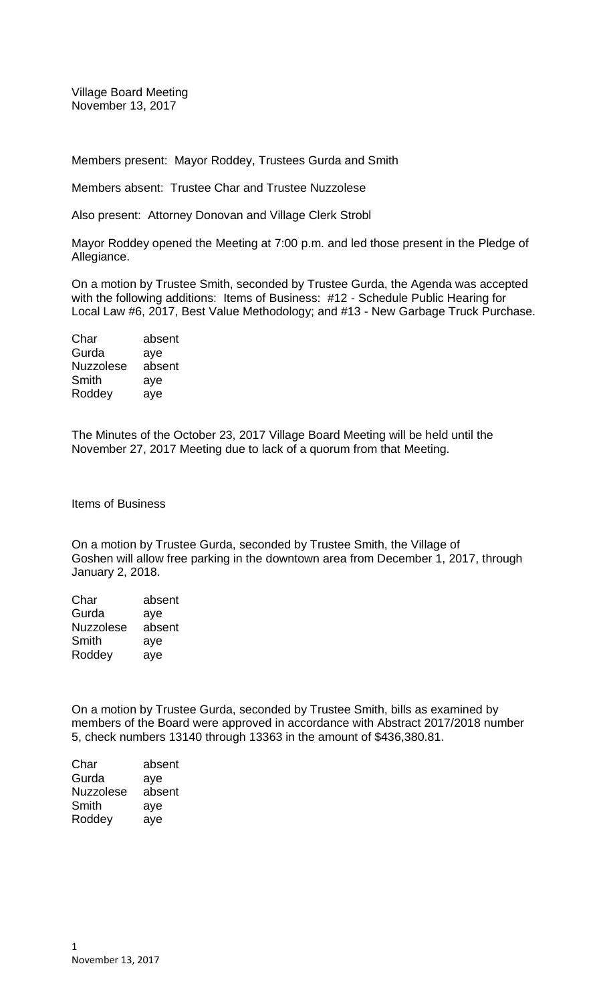Village Board Meeting November 13, 2017

Members present: Mayor Roddey, Trustees Gurda and Smith

Members absent: Trustee Char and Trustee Nuzzolese

Also present: Attorney Donovan and Village Clerk Strobl

Mayor Roddey opened the Meeting at 7:00 p.m. and led those present in the Pledge of Allegiance.

On a motion by Trustee Smith, seconded by Trustee Gurda, the Agenda was accepted with the following additions: Items of Business: #12 - Schedule Public Hearing for Local Law #6, 2017, Best Value Methodology; and #13 - New Garbage Truck Purchase.

| Char             | absent |
|------------------|--------|
| Gurda            | aye    |
| <b>Nuzzolese</b> | absent |
| Smith            | aye    |
| Roddey           | ave    |
|                  |        |

The Minutes of the October 23, 2017 Village Board Meeting will be held until the November 27, 2017 Meeting due to lack of a quorum from that Meeting.

Items of Business

On a motion by Trustee Gurda, seconded by Trustee Smith, the Village of Goshen will allow free parking in the downtown area from December 1, 2017, through January 2, 2018.

| Char             | absent |
|------------------|--------|
| Gurda            | aye    |
| <b>Nuzzolese</b> | absent |
| Smith            | aye    |
| Roddey           | aye    |

On a motion by Trustee Gurda, seconded by Trustee Smith, bills as examined by members of the Board were approved in accordance with Abstract 2017/2018 number 5, check numbers 13140 through 13363 in the amount of \$436,380.81.

Char absent Gurda aye Nuzzolese absent Smith aye Roddey aye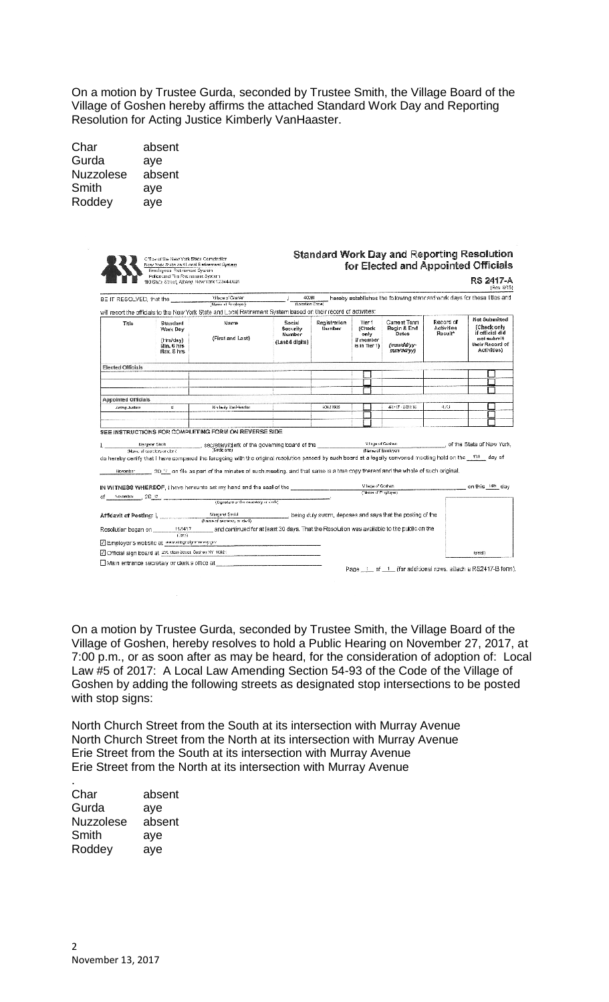On a motion by Trustee Gurda, seconded by Trustee Smith, the Village Board of the Village of Goshen hereby affirms the attached Standard Work Day and Reporting Resolution for Acting Justice Kimberly VanHaaster.

| Char             | absent |
|------------------|--------|
| Gurda            | aye    |
| <b>Nuzzolese</b> | absent |
| Smith            | aye    |
| Roddey           | aye    |

|                            | Police and Fire Retirement System<br>110 State Street, Albany, Now York 12244-0031 |                                                                                                                                                                 |                                                              |                        |                                                        |                                                                   |                                                | RS 2417-A<br>(Rev. 8/15)                                                                               |
|----------------------------|------------------------------------------------------------------------------------|-----------------------------------------------------------------------------------------------------------------------------------------------------------------|--------------------------------------------------------------|------------------------|--------------------------------------------------------|-------------------------------------------------------------------|------------------------------------------------|--------------------------------------------------------------------------------------------------------|
|                            |                                                                                    | BE IT RESOLVED, that the <b>contract of the Second Line of Strategie</b>                                                                                        | 40091<br>(Location Obde)                                     |                        |                                                        |                                                                   |                                                | hereby establishes the following standard work days for these titles and                               |
| Title                      | Standard<br>Work Day<br>(Hrs/day)<br>Min. 6 hrs.<br>Max. 8 hrs.                    | will report the officials to the New York State and Local Retirement System based on their record of activities:<br>Name<br>(First and Last)                    | Social<br>Security<br>Number<br>(Last 4 digita)              | Registration<br>Number | Tier 1<br>(Check<br>only<br>if member<br>is in Tier 1) | Current Term<br>Begin & End<br>Dates.<br>(mm/dd/vv-<br>mm'ddi'yy) | Record of<br>Activities<br>Result <sup>*</sup> | Not Submitted<br>(Check only<br>if official did<br>not submit<br>their Record of<br><b>Activities:</b> |
| <b>Elected Officials</b>   |                                                                                    |                                                                                                                                                                 |                                                              |                        |                                                        |                                                                   |                                                |                                                                                                        |
|                            |                                                                                    |                                                                                                                                                                 |                                                              |                        |                                                        |                                                                   |                                                |                                                                                                        |
|                            |                                                                                    |                                                                                                                                                                 |                                                              |                        |                                                        |                                                                   |                                                |                                                                                                        |
| <b>Appointed Officials</b> |                                                                                    |                                                                                                                                                                 |                                                              |                        |                                                        |                                                                   |                                                |                                                                                                        |
| Acting Justice             | W.                                                                                 | Kinderly Vari-leaster                                                                                                                                           |                                                              | 40421906               |                                                        | 4/1/17 - 8/81/16                                                  | 4.73                                           |                                                                                                        |
|                            |                                                                                    |                                                                                                                                                                 |                                                              |                        |                                                        |                                                                   |                                                |                                                                                                        |
|                            |                                                                                    | SEE INSTRUCTIONS FOR COMPLETING FORM ON REVERSE SIDE.                                                                                                           |                                                              |                        |                                                        |                                                                   |                                                |                                                                                                        |
|                            |                                                                                    | do hereby certify that I have compared the foregoing with the original resolution passed by such board at a legally convened meeting held on the 13th of day of |                                                              |                        | (Name of Emoleyer)                                     |                                                                   |                                                | of the State of New York.                                                                              |
|                            |                                                                                    | . 20 ° on file as part of the minutes of such meeting, and that same is a true copy thereof and the whole of such original.                                     |                                                              |                        |                                                        |                                                                   |                                                |                                                                                                        |
|                            |                                                                                    | IN WITNESS WHEREOF, I have hereunto set my hand and the seal of the                                                                                             |                                                              |                        | Vilage of Goshan<br>(Name of Employee)                 |                                                                   |                                                | on this 14th day                                                                                       |
|                            |                                                                                    | (Signalure of the sectetary of dietk)                                                                                                                           |                                                              |                        |                                                        |                                                                   |                                                |                                                                                                        |
|                            |                                                                                    |                                                                                                                                                                 |                                                              |                        |                                                        |                                                                   |                                                |                                                                                                        |
| of November 2017.          |                                                                                    |                                                                                                                                                                 | , being duly sworn, deposes and says that the posting of the |                        |                                                        |                                                                   |                                                |                                                                                                        |
|                            | Resolution began on 11/14/17<br>1.3551                                             | and continued for at least 30 days. That the Resolution was available to the public on the                                                                      |                                                              |                        |                                                        |                                                                   |                                                |                                                                                                        |
|                            | Z Employer's website at www.itepalgeneray.gov                                      |                                                                                                                                                                 |                                                              |                        |                                                        |                                                                   |                                                |                                                                                                        |

On a motion by Trustee Gurda, seconded by Trustee Smith, the Village Board of the Village of Goshen, hereby resolves to hold a Public Hearing on November 27, 2017, at 7:00 p.m., or as soon after as may be heard, for the consideration of adoption of: Local Law #5 of 2017: A Local Law Amending Section 54-93 of the Code of the Village of Goshen by adding the following streets as designated stop intersections to be posted with stop signs:

North Church Street from the South at its intersection with Murray Avenue North Church Street from the North at its intersection with Murray Avenue Erie Street from the South at its intersection with Murray Avenue Erie Street from the North at its intersection with Murray Avenue

| Char      | absent |
|-----------|--------|
| Gurda     | aye    |
| Nuzzolese | absent |
| Smith     | aye    |
| Roddey    | aye    |

.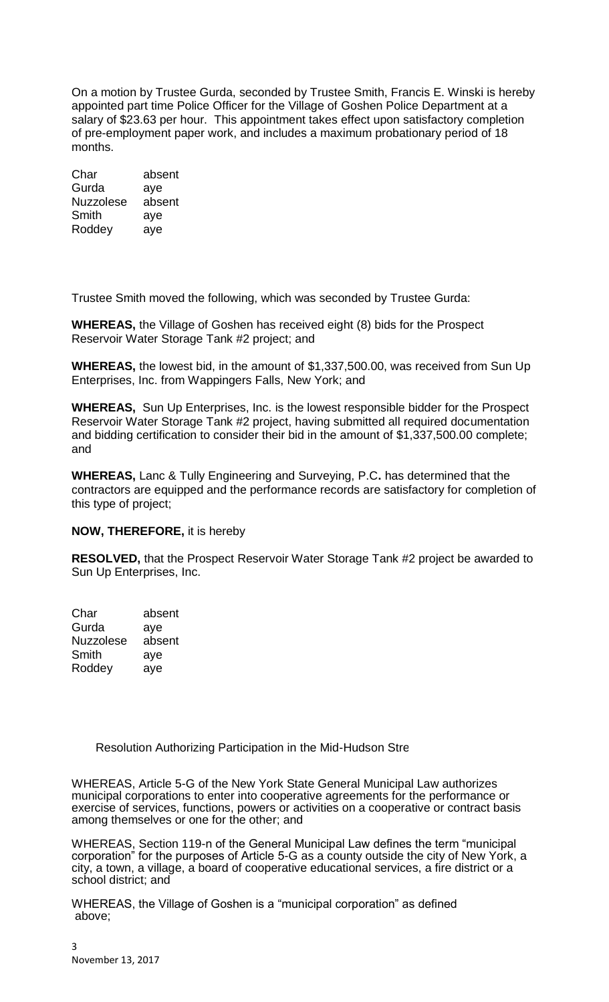On a motion by Trustee Gurda, seconded by Trustee Smith, Francis E. Winski is hereby appointed part time Police Officer for the Village of Goshen Police Department at a salary of \$23.63 per hour. This appointment takes effect upon satisfactory completion of pre-employment paper work, and includes a maximum probationary period of 18 months.

Char absent Gurda aye<br>Nuzzolese absent Nuzzolese Smith aye Roddey aye

Trustee Smith moved the following, which was seconded by Trustee Gurda:

**WHEREAS,** the Village of Goshen has received eight (8) bids for the Prospect Reservoir Water Storage Tank #2 project; and

**WHEREAS,** the lowest bid, in the amount of \$1,337,500.00, was received from Sun Up Enterprises, Inc. from Wappingers Falls, New York; and

**WHEREAS,** Sun Up Enterprises, Inc. is the lowest responsible bidder for the Prospect Reservoir Water Storage Tank #2 project, having submitted all required documentation and bidding certification to consider their bid in the amount of \$1,337,500.00 complete; and

**WHEREAS,** Lanc & Tully Engineering and Surveying, P.C**.** has determined that the contractors are equipped and the performance records are satisfactory for completion of this type of project;

## **NOW, THEREFORE,** it is hereby

**RESOLVED,** that the Prospect Reservoir Water Storage Tank #2 project be awarded to Sun Up Enterprises, Inc.

Char absent Gurda aye Nuzzolese absent Smith aye Roddey aye

Resolution Authorizing Participation in the Mid-Hudson Stre

WHEREAS, Article 5-G of the New York State General Municipal Law authorizes municipal corporations to enter into cooperative agreements for the performance or exercise of services, functions, powers or activities on a cooperative or contract basis among themselves or one for the other; and

WHEREAS, Section 119-n of the General Municipal Law defines the term "municipal corporation" for the purposes of Article 5-G as a county outside the city of New York, a city, a town, a village, a board of cooperative educational services, a fire district or a school district; and

WHEREAS, the Village of Goshen is a "municipal corporation" as defined above;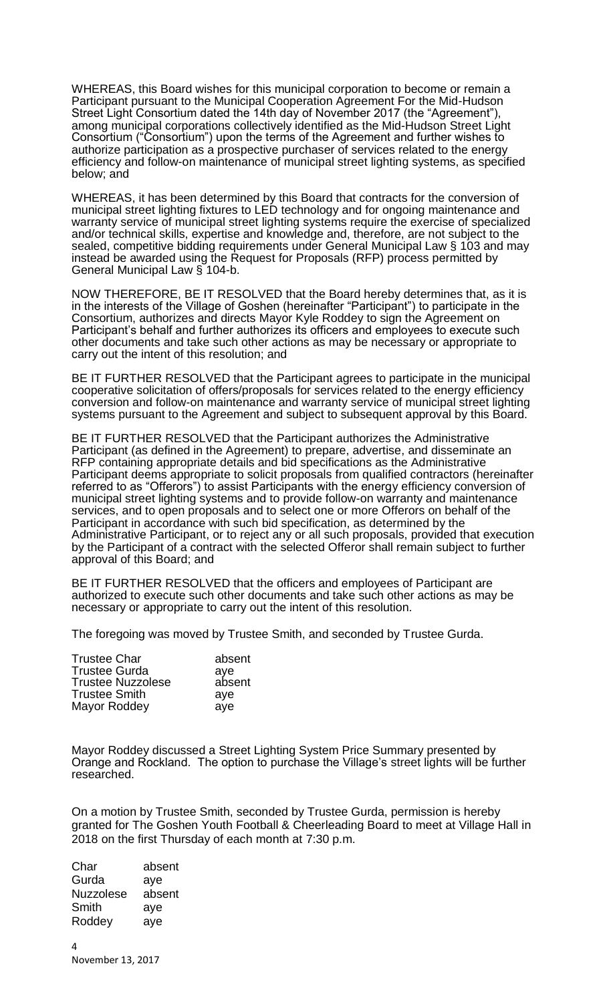WHEREAS, this Board wishes for this municipal corporation to become or remain a Participant pursuant to the Municipal Cooperation Agreement For the Mid-Hudson Street Light Consortium dated the 14th day of November 2017 (the "Agreement"), among municipal corporations collectively identified as the Mid-Hudson Street Light Consortium ("Consortium") upon the terms of the Agreement and further wishes to authorize participation as a prospective purchaser of services related to the energy efficiency and follow-on maintenance of municipal street lighting systems, as specified below; and

WHEREAS, it has been determined by this Board that contracts for the conversion of municipal street lighting fixtures to LED technology and for ongoing maintenance and warranty service of municipal street lighting systems require the exercise of specialized and/or technical skills, expertise and knowledge and, therefore, are not subject to the sealed, competitive bidding requirements under General Municipal Law § 103 and may instead be awarded using the Request for Proposals (RFP) process permitted by General Municipal Law § 104-b.

NOW THEREFORE, BE IT RESOLVED that the Board hereby determines that, as it is in the interests of the Village of Goshen (hereinafter "Participant") to participate in the Consortium, authorizes and directs Mayor Kyle Roddey to sign the Agreement on Participant's behalf and further authorizes its officers and employees to execute such other documents and take such other actions as may be necessary or appropriate to carry out the intent of this resolution; and

BE IT FURTHER RESOLVED that the Participant agrees to participate in the municipal cooperative solicitation of offers/proposals for services related to the energy efficiency conversion and follow-on maintenance and warranty service of municipal street lighting systems pursuant to the Agreement and subject to subsequent approval by this Board.

BE IT FURTHER RESOLVED that the Participant authorizes the Administrative Participant (as defined in the Agreement) to prepare, advertise, and disseminate an RFP containing appropriate details and bid specifications as the Administrative Participant deems appropriate to solicit proposals from qualified contractors (hereinafter referred to as "Offerors") to assist Participants with the energy efficiency conversion of municipal street lighting systems and to provide follow-on warranty and maintenance services, and to open proposals and to select one or more Offerors on behalf of the Participant in accordance with such bid specification, as determined by the Administrative Participant, or to reject any or all such proposals, provided that execution by the Participant of a contract with the selected Offeror shall remain subject to further approval of this Board; and

BE IT FURTHER RESOLVED that the officers and employees of Participant are authorized to execute such other documents and take such other actions as may be necessary or appropriate to carry out the intent of this resolution.

The foregoing was moved by Trustee Smith, and seconded by Trustee Gurda.

| absent |
|--------|
|        |
|        |
| absent |

Mayor Roddey discussed a Street Lighting System Price Summary presented by Orange and Rockland. The option to purchase the Village's street lights will be further researched.

On a motion by Trustee Smith, seconded by Trustee Gurda, permission is hereby granted for The Goshen Youth Football & Cheerleading Board to meet at Village Hall in 2018 on the first Thursday of each month at 7:30 p.m.

Char absent Gurda aye Nuzzolese absent Smith aye Roddey aye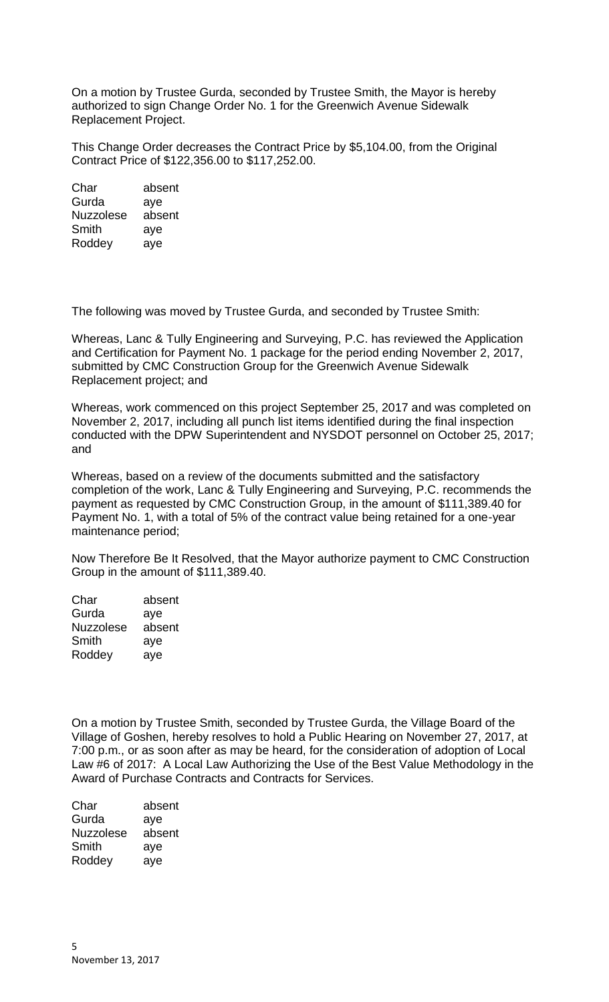On a motion by Trustee Gurda, seconded by Trustee Smith, the Mayor is hereby authorized to sign Change Order No. 1 for the Greenwich Avenue Sidewalk Replacement Project.

This Change Order decreases the Contract Price by \$5,104.00, from the Original Contract Price of \$122,356.00 to \$117,252.00.

Char absent Gurda aye Nuzzolese absent Smith aye Roddey aye

The following was moved by Trustee Gurda, and seconded by Trustee Smith:

Whereas, Lanc & Tully Engineering and Surveying, P.C. has reviewed the Application and Certification for Payment No. 1 package for the period ending November 2, 2017, submitted by CMC Construction Group for the Greenwich Avenue Sidewalk Replacement project; and

Whereas, work commenced on this project September 25, 2017 and was completed on November 2, 2017, including all punch list items identified during the final inspection conducted with the DPW Superintendent and NYSDOT personnel on October 25, 2017; and

Whereas, based on a review of the documents submitted and the satisfactory completion of the work, Lanc & Tully Engineering and Surveying, P.C. recommends the payment as requested by CMC Construction Group, in the amount of \$111,389.40 for Payment No. 1, with a total of 5% of the contract value being retained for a one-year maintenance period;

Now Therefore Be It Resolved, that the Mayor authorize payment to CMC Construction Group in the amount of \$111,389.40.

Char absent Gurda aye Nuzzolese absent Smith aye Roddey aye

On a motion by Trustee Smith, seconded by Trustee Gurda, the Village Board of the Village of Goshen, hereby resolves to hold a Public Hearing on November 27, 2017, at 7:00 p.m., or as soon after as may be heard, for the consideration of adoption of Local Law #6 of 2017: A Local Law Authorizing the Use of the Best Value Methodology in the Award of Purchase Contracts and Contracts for Services.

Char absent Gurda aye Nuzzolese absent Smith aye Roddey aye